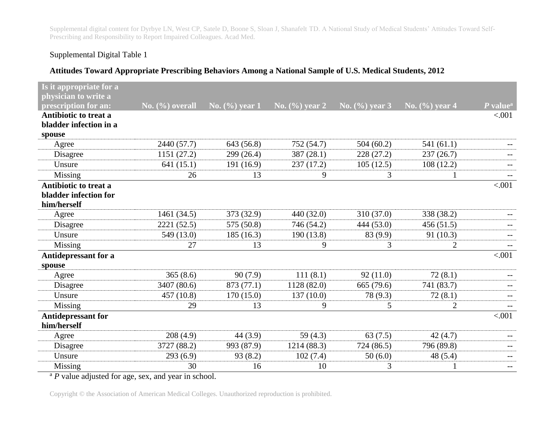Supplemental digital content for Dyrbye LN, West CP, Satele D, Boone S, Sloan J, Shanafelt TD. A National Study of Medical Students' Attitudes Toward Self-Prescribing and Responsibility to Report Impaired Colleagues. Acad Med.

## Supplemental Digital Table 1

## **Attitudes Toward Appropriate Prescribing Behaviors Among a National Sample of U.S. Medical Students, 2012**

| Is it appropriate for a      |                    |                    |                    |                    |                                |                          |
|------------------------------|--------------------|--------------------|--------------------|--------------------|--------------------------------|--------------------------|
| physician to write a         |                    |                    |                    |                    |                                |                          |
| prescription for an:         | No. $(\%)$ overall | No. $(\% )$ year 1 | No. $(\% )$ year 2 | No. $(\% )$ year 3 | $\sqrt{\text{No.}(\%)}$ year 4 | $P$ value <sup>a</sup>   |
| Antibiotic to treat a        |                    |                    |                    |                    |                                | < .001                   |
| bladder infection in a       |                    |                    |                    |                    |                                |                          |
| spouse                       |                    |                    |                    |                    |                                |                          |
| Agree                        | 2440 (57.7)        | 643 (56.8)         | 752 (54.7)         | 504(60.2)          | 541(61.1)                      |                          |
| Disagree                     | 1151 (27.2)        | 299 (26.4)         | 387(28.1)          | 228 (27.2)         | 237(26.7)                      |                          |
| Unsure                       | 641(15.1)          | 191 (16.9)         | 237 (17.2)         | 105(12.5)          | 108(12.2)                      |                          |
| Missing                      | 26                 | 13                 | 9                  | 3                  |                                | $-$                      |
| <b>Antibiotic to treat a</b> |                    |                    |                    |                    |                                | < 0.001                  |
| bladder infection for        |                    |                    |                    |                    |                                |                          |
| him/herself                  |                    |                    |                    |                    |                                |                          |
| Agree                        | 1461 (34.5)        | 373 (32.9)         | 440 (32.0)         | 310(37.0)          | 338 (38.2)                     |                          |
| Disagree                     | 2221 (52.5)        | 575 (50.8)         | 746 (54.2)         | 444 (53.0)         | 456(51.5)                      |                          |
| Unsure                       | 549 (13.0)         | 185(16.3)          | 190 (13.8)         | 83 (9.9)           | 91(10.3)                       |                          |
| Missing                      | 27                 | 13                 | 9                  | 3                  | $\overline{2}$                 |                          |
| Antidepressant for a         |                    |                    |                    |                    |                                | < 0.001                  |
| spouse                       |                    |                    |                    |                    |                                |                          |
| Agree                        | 365(8.6)           | 90(7.9)            | 111(8.1)           | 92(11.0)           | 72(8.1)                        |                          |
| Disagree                     | 3407 (80.6)        | 873 (77.1)         | 1128 (82.0)        | 665 (79.6)         | 741 (83.7)                     |                          |
| Unsure                       | 457(10.8)          | 170(15.0)          | 137(10.0)          | 78 (9.3)           | 72(8.1)                        |                          |
| Missing                      | 29                 | 13                 | 9                  | 5                  | $\overline{2}$                 |                          |
| <b>Antidepressant for</b>    |                    |                    |                    |                    |                                | < .001                   |
| him/herself                  |                    |                    |                    |                    |                                |                          |
| Agree                        | 208(4.9)           | 44 (3.9)           | 59 $(4.3)$         | 63(7.5)            | 42(4.7)                        |                          |
| Disagree                     | 3727 (88.2)        | 993 (87.9)         | 1214 (88.3)        | 724 (86.5)         | 796 (89.8)                     | $\qquad \qquad -$        |
| Unsure                       | 293(6.9)           | 93(8.2)            | 102(7.4)           | 50(6.0)            | 48 (5.4)                       | $\overline{\phantom{m}}$ |
| Missing                      | 30                 | 16                 | 10                 | 3                  |                                | $\qquad \qquad -$        |

<sup>a</sup> *P* value adjusted for age, sex, and year in school.

Copyright © the Association of American Medical Colleges. Unauthorized reproduction is prohibited.